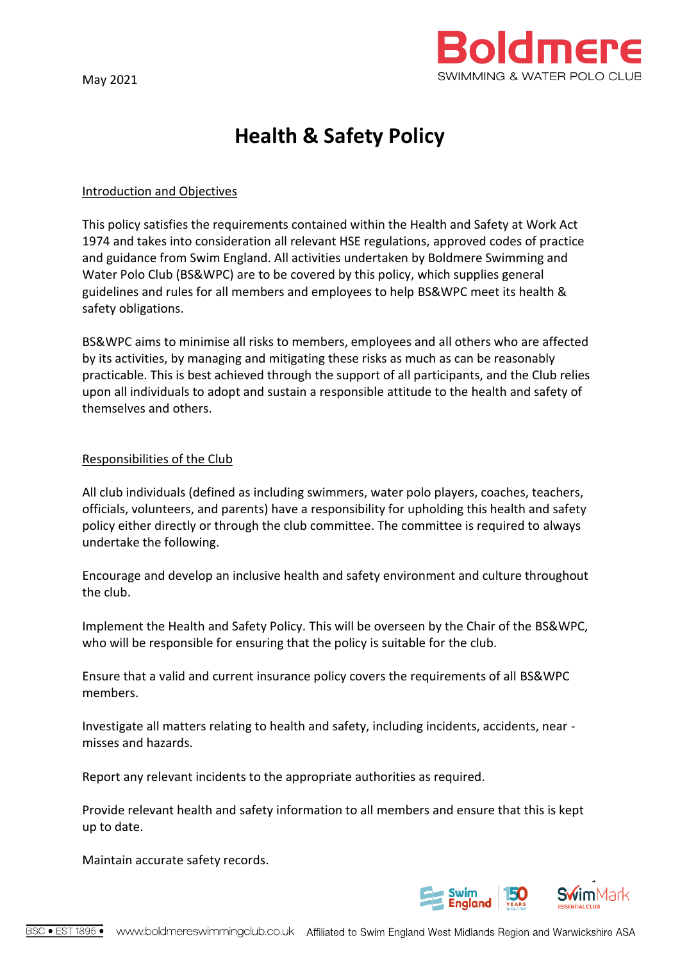

# **Health & Safety Policy**

## Introduction and Objectives

This policy satisfies the requirements contained within the Health and Safety at Work Act 1974 and takes into consideration all relevant HSE regulations, approved codes of practice and guidance from Swim England. All activities undertaken by Boldmere Swimming and Water Polo Club (BS&WPC) are to be covered by this policy, which supplies general guidelines and rules for all members and employees to help BS&WPC meet its health & safety obligations.

BS&WPC aims to minimise all risks to members, employees and all others who are affected by its activities, by managing and mitigating these risks as much as can be reasonably practicable. This is best achieved through the support of all participants, and the Club relies upon all individuals to adopt and sustain a responsible attitude to the health and safety of themselves and others.

## Responsibilities of the Club

All club individuals (defined as including swimmers, water polo players, coaches, teachers, officials, volunteers, and parents) have a responsibility for upholding this health and safety policy either directly or through the club committee. The committee is required to always undertake the following.

Encourage and develop an inclusive health and safety environment and culture throughout the club.

Implement the Health and Safety Policy. This will be overseen by the Chair of the BS&WPC, who will be responsible for ensuring that the policy is suitable for the club.

Ensure that a valid and current insurance policy covers the requirements of all BS&WPC members.

Investigate all matters relating to health and safety, including incidents, accidents, near misses and hazards.

Report any relevant incidents to the appropriate authorities as required.

Provide relevant health and safety information to all members and ensure that this is kept up to date.

Maintain accurate safety records.

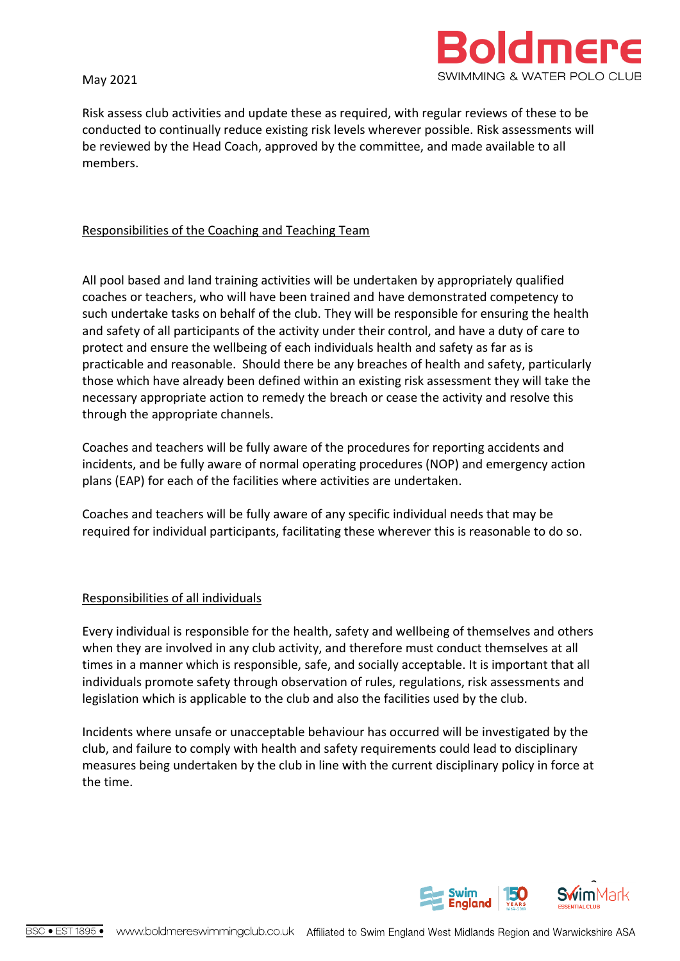May 2021



Risk assess club activities and update these as required, with regular reviews of these to be conducted to continually reduce existing risk levels wherever possible. Risk assessments will be reviewed by the Head Coach, approved by the committee, and made available to all members.

## Responsibilities of the Coaching and Teaching Team

All pool based and land training activities will be undertaken by appropriately qualified coaches or teachers, who will have been trained and have demonstrated competency to such undertake tasks on behalf of the club. They will be responsible for ensuring the health and safety of all participants of the activity under their control, and have a duty of care to protect and ensure the wellbeing of each individuals health and safety as far as is practicable and reasonable. Should there be any breaches of health and safety, particularly those which have already been defined within an existing risk assessment they will take the necessary appropriate action to remedy the breach or cease the activity and resolve this through the appropriate channels.

Coaches and teachers will be fully aware of the procedures for reporting accidents and incidents, and be fully aware of normal operating procedures (NOP) and emergency action plans (EAP) for each of the facilities where activities are undertaken.

Coaches and teachers will be fully aware of any specific individual needs that may be required for individual participants, facilitating these wherever this is reasonable to do so.

## Responsibilities of all individuals

Every individual is responsible for the health, safety and wellbeing of themselves and others when they are involved in any club activity, and therefore must conduct themselves at all times in a manner which is responsible, safe, and socially acceptable. It is important that all individuals promote safety through observation of rules, regulations, risk assessments and legislation which is applicable to the club and also the facilities used by the club.

Incidents where unsafe or unacceptable behaviour has occurred will be investigated by the club, and failure to comply with health and safety requirements could lead to disciplinary measures being undertaken by the club in line with the current disciplinary policy in force at the time.